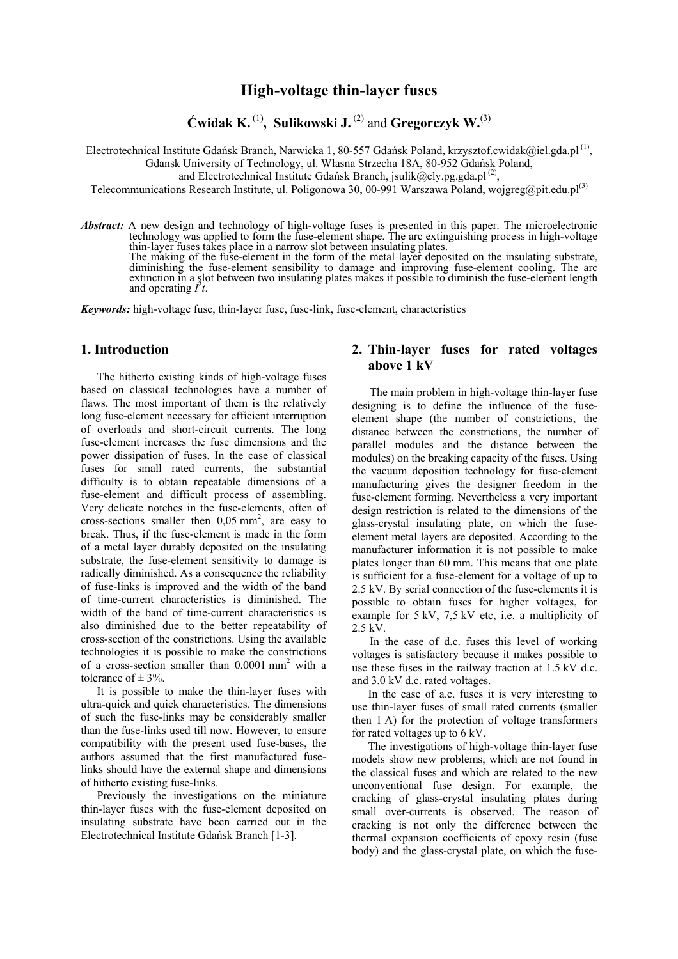# **High-voltage thin-layer fuses**

 $\acute{\textbf{C}}$  widak K.<sup>(1)</sup>, Sulikowski J.<sup>(2)</sup> and Gregorczyk W.<sup>(3)</sup>

Electrotechnical Institute Gdańsk Branch, Narwicka 1, 80-557 Gdańsk Poland, krzysztof.cwidak@iel.gda.pl<sup>(1)</sup>,

Gdansk University of Technology, ul. Własna Strzecha 18A, 80-952 Gdańsk Poland,

and Electrotechnical Institute Gdańsk Branch, jsulik@ely.pg.gda.pl<sup>(2)</sup>,

Telecommunications Research Institute, ul. Poligonowa 30, 00-991 Warszawa Poland, wojgreg@pit.edu.pl<sup>(3)</sup>

*Abstract:* A new design and technology of high-voltage fuses is presented in this paper. The microelectronic technology was applied to form the fuse-element shape. The arc extinguishing process in high-voltage thin-layer fuses takes place in a narrow slot between insulating plates. The making of the fuse-element in the form of the metal layer deposited on the insulating substrate, diminishing the fuse-element sensibility to damage and improving fuse-element cooling. The arc extinction in a slot between two insulating plates makes it possible to diminish the fuse-element length and operating  $I^2t$ .

*Keywords:* high-voltage fuse, thin-layer fuse, fuse-link, fuse-element, characteristics

## **1. Introduction**

The hitherto existing kinds of high-voltage fuses based on classical technologies have a number of flaws. The most important of them is the relatively long fuse-element necessary for efficient interruption of overloads and short-circuit currents. The long fuse-element increases the fuse dimensions and the power dissipation of fuses. In the case of classical fuses for small rated currents, the substantial difficulty is to obtain repeatable dimensions of a fuse-element and difficult process of assembling. Very delicate notches in the fuse-elements, often of cross-sections smaller then  $0.05$  mm<sup>2</sup>, are easy to break. Thus, if the fuse-element is made in the form of a metal layer durably deposited on the insulating substrate, the fuse-element sensitivity to damage is radically diminished. As a consequence the reliability of fuse-links is improved and the width of the band of time-current characteristics is diminished. The width of the band of time-current characteristics is also diminished due to the better repeatability of cross-section of the constrictions. Using the available technologies it is possible to make the constrictions of a cross-section smaller than 0.0001 mm<sup>2</sup> with a tolerance of  $\pm$  3%.

It is possible to make the thin-layer fuses with ultra-quick and quick characteristics. The dimensions of such the fuse-links may be considerably smaller than the fuse-links used till now. However, to ensure compatibility with the present used fuse-bases, the authors assumed that the first manufactured fuselinks should have the external shape and dimensions of hitherto existing fuse-links.

Previously the investigations on the miniature thin-layer fuses with the fuse-element deposited on insulating substrate have been carried out in the Electrotechnical Institute Gdańsk Branch [1-3].

## **2. Thin-layer fuses for rated voltages above 1 kV**

The main problem in high-voltage thin-layer fuse designing is to define the influence of the fuseelement shape (the number of constrictions, the distance between the constrictions, the number of parallel modules and the distance between the modules) on the breaking capacity of the fuses. Using the vacuum deposition technology for fuse-element manufacturing gives the designer freedom in the fuse-element forming. Nevertheless a very important design restriction is related to the dimensions of the glass-crystal insulating plate, on which the fuseelement metal layers are deposited. According to the manufacturer information it is not possible to make plates longer than 60 mm. This means that one plate is sufficient for a fuse-element for a voltage of up to 2.5 kV. By serial connection of the fuse-elements it is possible to obtain fuses for higher voltages, for example for 5 kV, 7,5 kV etc, i.e. a multiplicity of  $2.5 \text{ kV}$ .

In the case of d.c. fuses this level of working voltages is satisfactory because it makes possible to use these fuses in the railway traction at 1.5 kV d.c. and 3.0 kV d.c. rated voltages.

In the case of a.c. fuses it is very interesting to use thin-layer fuses of small rated currents (smaller then 1 A) for the protection of voltage transformers for rated voltages up to 6 kV.

The investigations of high-voltage thin-layer fuse models show new problems, which are not found in the classical fuses and which are related to the new unconventional fuse design. For example, the cracking of glass-crystal insulating plates during small over-currents is observed. The reason of cracking is not only the difference between the thermal expansion coefficients of epoxy resin (fuse body) and the glass-crystal plate, on which the fuse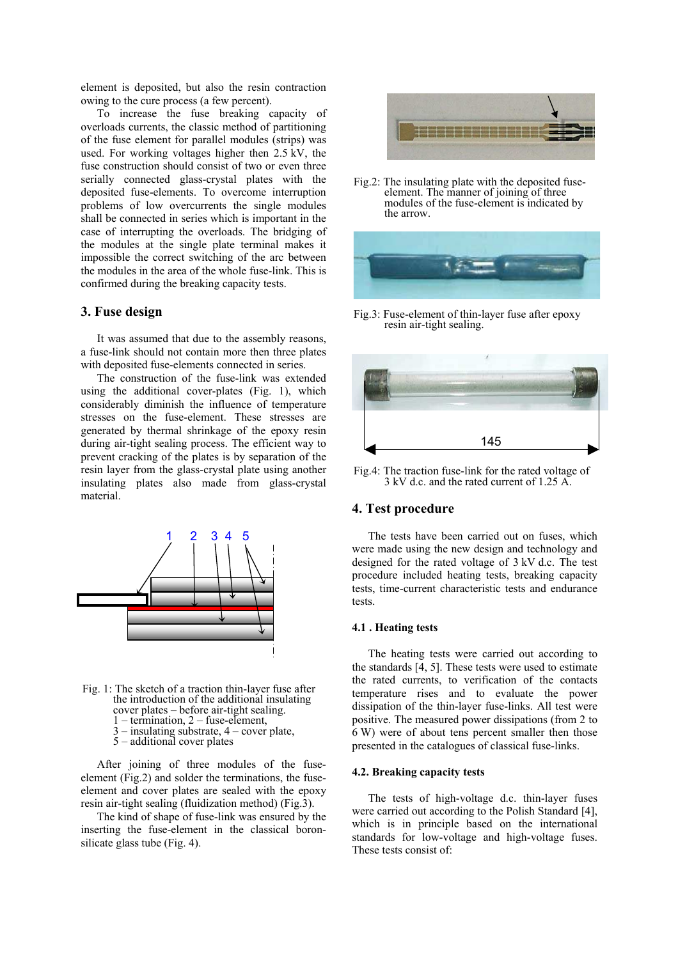element is deposited, but also the resin contraction owing to the cure process (a few percent).

To increase the fuse breaking capacity of overloads currents, the classic method of partitioning of the fuse element for parallel modules (strips) was used. For working voltages higher then 2.5 kV, the fuse construction should consist of two or even three serially connected glass-crystal plates with the deposited fuse-elements. To overcome interruption problems of low overcurrents the single modules shall be connected in series which is important in the case of interrupting the overloads. The bridging of the modules at the single plate terminal makes it impossible the correct switching of the arc between the modules in the area of the whole fuse-link. This is confirmed during the breaking capacity tests.

#### **3. Fuse design**

It was assumed that due to the assembly reasons, a fuse-link should not contain more then three plates with deposited fuse-elements connected in series.

The construction of the fuse-link was extended using the additional cover-plates (Fig. 1), which considerably diminish the influence of temperature stresses on the fuse-element. These stresses are generated by thermal shrinkage of the epoxy resin during air-tight sealing process. The efficient way to prevent cracking of the plates is by separation of the resin layer from the glass-crystal plate using another insulating plates also made from glass-crystal material.



Fig. 1: The sketch of a traction thin-layer fuse after the introduction of the additional insulating cover plates – before air-tight sealing. 1 – termination, 2 – fuse-element, 3 – insulating substrate, 4 – cover plate, 5 – additional cover plates

After joining of three modules of the fuseelement (Fig.2) and solder the terminations, the fuseelement and cover plates are sealed with the epoxy resin air-tight sealing (fluidization method) (Fig.3).

The kind of shape of fuse-link was ensured by the inserting the fuse-element in the classical boronsilicate glass tube (Fig. 4).



Fig.2: The insulating plate with the deposited fuseelement. The manner of joining of three modules of the fuse-element is indicated by the arrow.



Fig.3: Fuse-element of thin-layer fuse after epoxy resin air-tight sealing.



Fig.4: The traction fuse-link for the rated voltage of 3 kV d.c. and the rated current of 1.25 A.

## **4. Test procedure**

The tests have been carried out on fuses, which were made using the new design and technology and designed for the rated voltage of 3 kV d.c. The test procedure included heating tests, breaking capacity tests, time-current characteristic tests and endurance tests.

#### **4.1 . Heating tests**

The heating tests were carried out according to the standards [4, 5]. These tests were used to estimate the rated currents, to verification of the contacts temperature rises and to evaluate the power dissipation of the thin-layer fuse-links. All test were positive. The measured power dissipations (from 2 to 6 W) were of about tens percent smaller then those presented in the catalogues of classical fuse-links.

#### **4.2. Breaking capacity tests**

The tests of high-voltage d.c. thin-layer fuses were carried out according to the Polish Standard [4], which is in principle based on the international standards for low-voltage and high-voltage fuses. These tests consist of: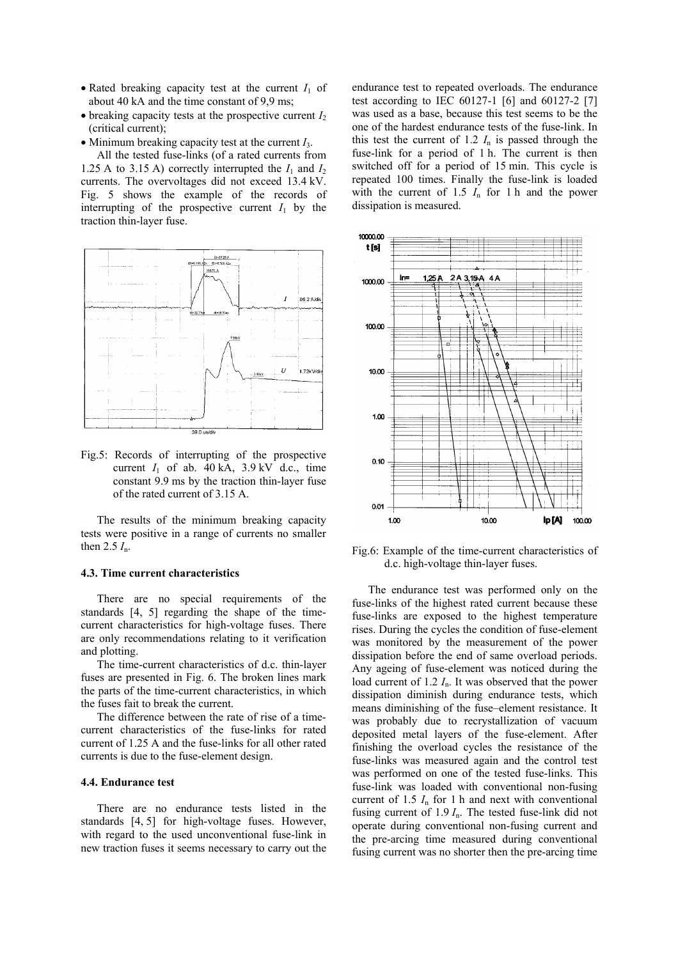- Rated breaking capacity test at the current  $I_1$  of about 40 kA and the time constant of 9,9 ms;
- $\bullet$  breaking capacity tests at the prospective current  $I_2$ (critical current);
- Minimum breaking capacity test at the current *I*3.

All the tested fuse-links (of a rated currents from 1.25 A to 3.15 A) correctly interrupted the  $I_1$  and  $I_2$ currents. The overvoltages did not exceed 13.4 kV. Fig. 5 shows the example of the records of interrupting of the prospective current  $I_1$  by the traction thin-layer fuse.



Fig.5: Records of interrupting of the prospective current  $I_1$  of ab.  $40 \text{ kA}$ ,  $3.9 \text{ kV}$  d.c., time constant 9.9 ms by the traction thin-layer fuse of the rated current of 3.15 A.

The results of the minimum breaking capacity tests were positive in a range of currents no smaller then 2.5 *I*n.

#### **4.3. Time current characteristics**

There are no special requirements of the standards [4, 5] regarding the shape of the timecurrent characteristics for high-voltage fuses. There are only recommendations relating to it verification and plotting.

The time-current characteristics of d.c. thin-layer fuses are presented in Fig. 6. The broken lines mark the parts of the time-current characteristics, in which the fuses fait to break the current.

The difference between the rate of rise of a timecurrent characteristics of the fuse-links for rated current of 1.25 A and the fuse-links for all other rated currents is due to the fuse-element design.

#### **4.4. Endurance test**

There are no endurance tests listed in the standards [4, 5] for high-voltage fuses. However, with regard to the used unconventional fuse-link in new traction fuses it seems necessary to carry out the endurance test to repeated overloads. The endurance test according to IEC 60127-1 [6] and 60127-2 [7] was used as a base, because this test seems to be the one of the hardest endurance tests of the fuse-link. In this test the current of 1.2  $I_n$  is passed through the fuse-link for a period of 1 h. The current is then switched off for a period of 15 min. This cycle is repeated 100 times. Finally the fuse-link is loaded with the current of  $1.5$   $I_n$  for 1 h and the power dissipation is measured.



Fig.6: Example of the time-current characteristics of d.c. high-voltage thin-layer fuses.

The endurance test was performed only on the fuse-links of the highest rated current because these fuse-links are exposed to the highest temperature rises. During the cycles the condition of fuse-element was monitored by the measurement of the power dissipation before the end of same overload periods. Any ageing of fuse-element was noticed during the load current of 1.2 *I*n. It was observed that the power dissipation diminish during endurance tests, which means diminishing of the fuse–element resistance. It was probably due to recrystallization of vacuum deposited metal layers of the fuse-element. After finishing the overload cycles the resistance of the fuse-links was measured again and the control test was performed on one of the tested fuse-links. This fuse-link was loaded with conventional non-fusing current of  $1.5$   $I_n$  for 1 h and next with conventional fusing current of 1.9 *I*n. The tested fuse-link did not operate during conventional non-fusing current and the pre-arcing time measured during conventional fusing current was no shorter then the pre-arcing time